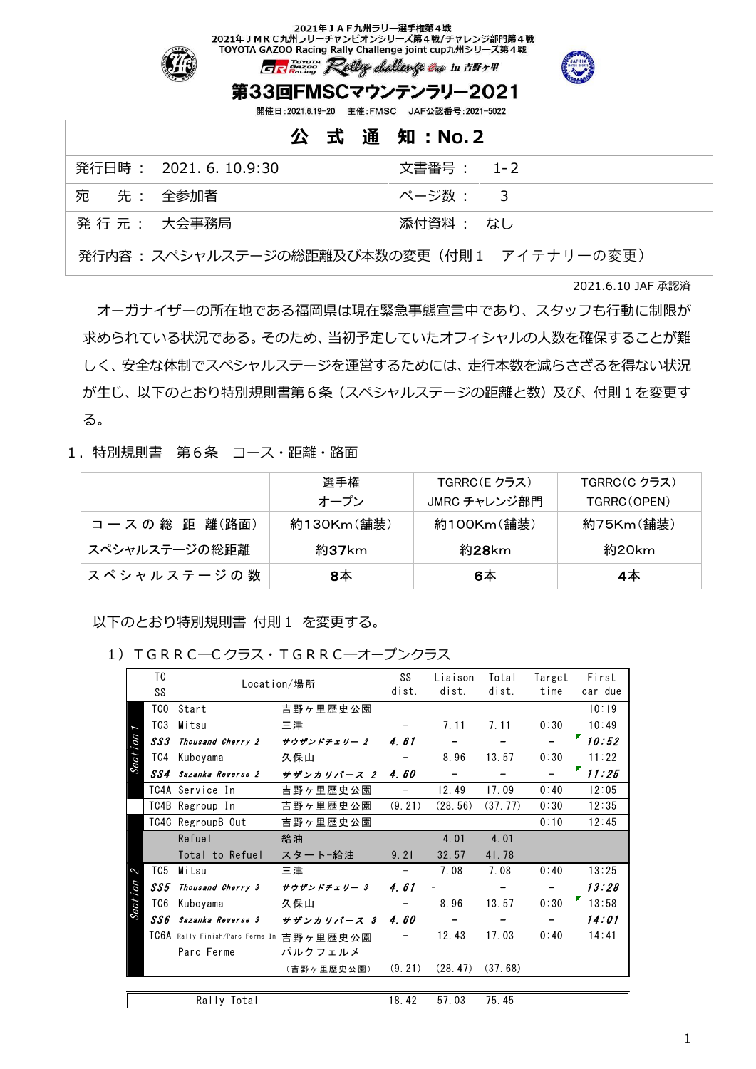#### 2021年JAF九州ラリー選手権第4戦 2021年 J M R C 九州ラリーチャンピオンシリーズ第4戦/チャレンジ部門第4戦 TOYOTA GAZOO Racing Rally Challenge joint cup九州シリーズ第4戦



GREazon Rally challenge cap in E#+#

## 第33回FMSCマウンテンラリー2021

開催日:2021.6.19-20 主催:FMSC JAF公認番号:2021-5022

|           |                       | 公 式 通 知 : No. 2 |
|-----------|-----------------------|-----------------|
|           | 発行日時 : 2021.6.10.9:30 | 文書番号 : 1-2      |
| 宛 先: 全参加者 |                       | ページ数 : 3        |
|           | 発 行 元 : 大会事務局         | 添付資料 : なし       |
|           |                       |                 |

発行内容 : スペシャルステージの総距離及び本数の変更(付則1 アイテナリーの変更)

2021.6.10 JAF 承認済

オーガナイザーの所在地である福岡県は現在緊急事態宣言中であり、スタッフも行動に制限が 求められている状況である。そのため、当初予定していたオフィシャルの人数を確保することが難 しく、安全な体制でスペシャルステージを運営するためには、走行本数を減らさざるを得ない状況 が生じ、以下のとおり特別規則書第6条(スペシャルステージの距離と数)及び、付則1を変更す る。

#### 1.特別規則書 第6条 コース・距離・路面

|               | 選手権        | TGRRC(E クラス) | TGRRC(C クラス) |  |
|---------------|------------|--------------|--------------|--|
|               | オープン       | JMRC チャレンジ部門 | TGRRC(OPEN)  |  |
| コースの総距離(路面)   | 約130Km(舗装) | 約100Km(舗装)   | 約75Km(舗装)    |  |
| スペシャルステージの総距離 | 約37km      | 約28km        | 約20km        |  |
| スペシャルステージの数   | 8本         | 6本           | 4本           |  |

以下のとおり特別規則書 付則1 を変更する。

|         |                  |                                          | TGRRC-Cクラス・TGRRC-オープンクラス |                          |                  |                |                |                      |
|---------|------------------|------------------------------------------|--------------------------|--------------------------|------------------|----------------|----------------|----------------------|
|         | TC<br>SS         | Location/場所                              |                          | SS<br>dist.              | Liaison<br>dist. | Total<br>dist. | Target<br>time | First<br>car due     |
|         | TCO              | Start                                    | 吉野ヶ里歴史公園                 |                          |                  |                |                | 10:19                |
| I       | T <sub>C</sub> 3 | Mitsu                                    | 三津                       |                          | 7.11             | 7.11           | 0:30           | 10:49                |
|         | SS3              | Thousand Cherry 2                        | サウザンドチェリー 2              | 4.61                     |                  |                |                | $\blacksquare$ 10:52 |
| Section | TC4              | Kuboyama                                 | 久保山                      |                          | 8.96             | 13.57          | 0:30           | 11:22                |
|         | SS4              | Sazanka Reverse 2                        | サザンカリバース 2               | 4.60                     |                  |                |                | 11:25                |
|         |                  | TC4A Service In                          | 吉野ヶ里歴史公園                 | -                        | 12.49            | 17.09          | 0:40           | 12:05                |
|         |                  | TC4B Regroup In                          | 吉野ヶ里歴史公園                 | (9.21)                   | (28, 56)         | (37, 77)       | 0:30           | 12:35                |
|         |                  | TC4C RegroupB Out                        | 吉野ヶ里歴史公園                 |                          |                  |                | 0:10           | 12:45                |
|         |                  | Refuel                                   | 給油                       |                          | 4.01             | 4.01           |                |                      |
|         |                  | Total to Refuel                          | スタートー給油                  | 9.21                     | 32.57            | 41.78          |                |                      |
| 2       | TC5              | Mitsu                                    | 三津                       | $\overline{\phantom{0}}$ | 7.08             | 7.08           | 0:40           | 13:25                |
|         | SS5              | Thousand Cherry 3                        | サウザンドチェリー 3              | 461                      |                  |                |                | 13:28                |
| Section | TC6              | Kuboyama                                 | 久保山                      |                          | 8.96             | 13.57          | 0:30           | 13:58                |
|         |                  | SS6 Sazanka Reverse 3                    | サザンカリバース 3               | 4.60                     |                  |                |                | 14:01                |
|         |                  | TC6A Rally Finish/Parc Ferme In 吉野ヶ里歴史公園 |                          |                          | 12.43            | 17.03          | 0:40           | 14:41                |
|         |                  | Parc Ferme                               | パルクフェルメ                  |                          |                  |                |                |                      |
|         |                  |                                          | (吉野ヶ里歴史公園)               | (9.21)                   | (28, 47)         | (37, 68)       |                |                      |
|         |                  |                                          |                          |                          |                  |                |                |                      |
|         | Rally Total      |                                          |                          |                          | 57.03            | 75.45          |                |                      |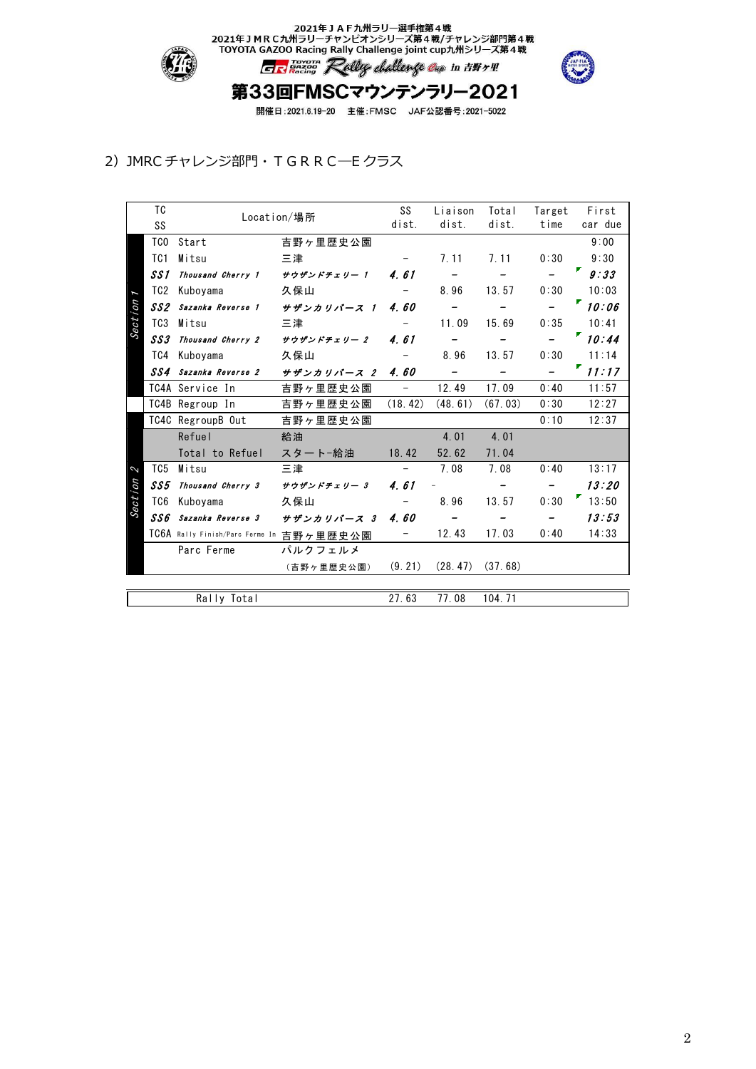

2021年JAF九州ラリー選手権第4戦<br>2021年JMRC九州ラリーチャンピオンシリーズ第4戦/チャレンジ部門第4戦<br>TOYOTA GAZOO Racing Rally Challenge joint cup九州シリーズ第4戦 GREaven Rolly challenge Cap in HW+!



# 第33回FMSCマウンテンラリー2021

開催日:2021.6.19-20 主催:FMSC JAF公認番号:2021-5022

### 2) JMRC チャレンジ部門・TGRRC–Eクラス

|         | TC              | Location/場所                              |             | SS                       | Liaison                  | Total                        | Target            | First   |
|---------|-----------------|------------------------------------------|-------------|--------------------------|--------------------------|------------------------------|-------------------|---------|
|         | SS              |                                          |             | dist.                    | dist.                    | dist.                        | time              | car due |
|         | TCO             | Start                                    | 吉野ヶ里歴史公園    |                          |                          |                              |                   | 9:00    |
|         | TC <sub>1</sub> | Mitsu                                    | 三津          | $-$                      | 7.11                     | 7.11                         | 0:30              | 9:30    |
|         | SS 1            | Thousand Cherry 1                        | サウザンドチェリー 1 | 4.61                     |                          |                              |                   | 9:33    |
|         | TC2             | Kuboyama                                 | 久保山         |                          | 8.96                     | 13.57                        | 0:30              | 10:03   |
|         | SS2             | Sazanka Reverse 1                        | サザンカリバース 1  | 4.60                     | $\overline{\phantom{m}}$ |                              |                   | "10:06" |
| Section | TC <sub>3</sub> | Mitsu                                    | 三津          |                          | 11.09                    | 15.69                        | 0:35              | 10:41   |
|         | SS3             | Thousand Cherry 2                        | サウザンドチェリー 2 | 4.61                     | $\overline{\phantom{m}}$ | $\qquad \qquad \blacksquare$ | $\qquad \qquad -$ | 10.44   |
|         | TC4             | Kuboyama                                 | 久保山         | $-$                      | 8.96                     | 13.57                        | 0:30              | 11:14   |
|         | SS4             | Sazanka Reverse 2                        | サザンカリバース 2  | 4.60                     | $\overline{\phantom{m}}$ |                              |                   | 11:17   |
|         |                 | TC4A Service In                          | 吉野ヶ里歴史公園    | $\overline{\phantom{a}}$ | 12.49                    | 17.09                        | 0:40              | 11:57   |
|         |                 | TC4B Regroup In                          | 吉野ヶ里歴史公園    | (18.42)                  | (48.61)                  | (67, 03)                     | 0:30              | 12:27   |
|         |                 | TC4C RegroupB Out                        | 吉野ヶ里歴史公園    |                          |                          |                              | 0:10              | 12:37   |
|         |                 | Refuel                                   | 給油          |                          | 4.01                     | 4.01                         |                   |         |
|         |                 | Total to Refuel                          | スタート-給油     | 18.42                    | 52.62                    | 71.04                        |                   |         |
| 2       | TC5             | Mitsu                                    | 三津          | $\equiv$                 | 7.08                     | 7.08                         | 0:40              | 13:17   |
| Section | SS5             | Thousand Cherry 3 サウザンドチェリー 3            |             | 4.61                     |                          | $\overline{\phantom{0}}$     |                   | 13:20   |
|         | TC6             | Kuboyama                                 | 久保山         |                          | 8.96                     | 13.57                        | 0:30              | 13:50   |
|         | SS 6            | Sazanka Reverse 3                        | サザンカリバース 3  | 4.60                     | $\overline{\phantom{a}}$ |                              |                   | 13:53   |
|         |                 | TC6A Rally Finish/Parc Ferme In 吉野ヶ里歴史公園 |             | -                        | 12.43                    | 17.03                        | 0:40              | 14:33   |
|         |                 | Parc Ferme                               | パルクフェルメ     |                          |                          |                              |                   |         |
|         |                 |                                          | (吉野ヶ里歴史公園)  | (9.21)                   | (28, 47)                 | (37, 68)                     |                   |         |
|         |                 |                                          |             |                          |                          |                              |                   |         |
|         | Rally Total     |                                          |             | 27.63                    | 77.08                    | 104.71                       |                   |         |